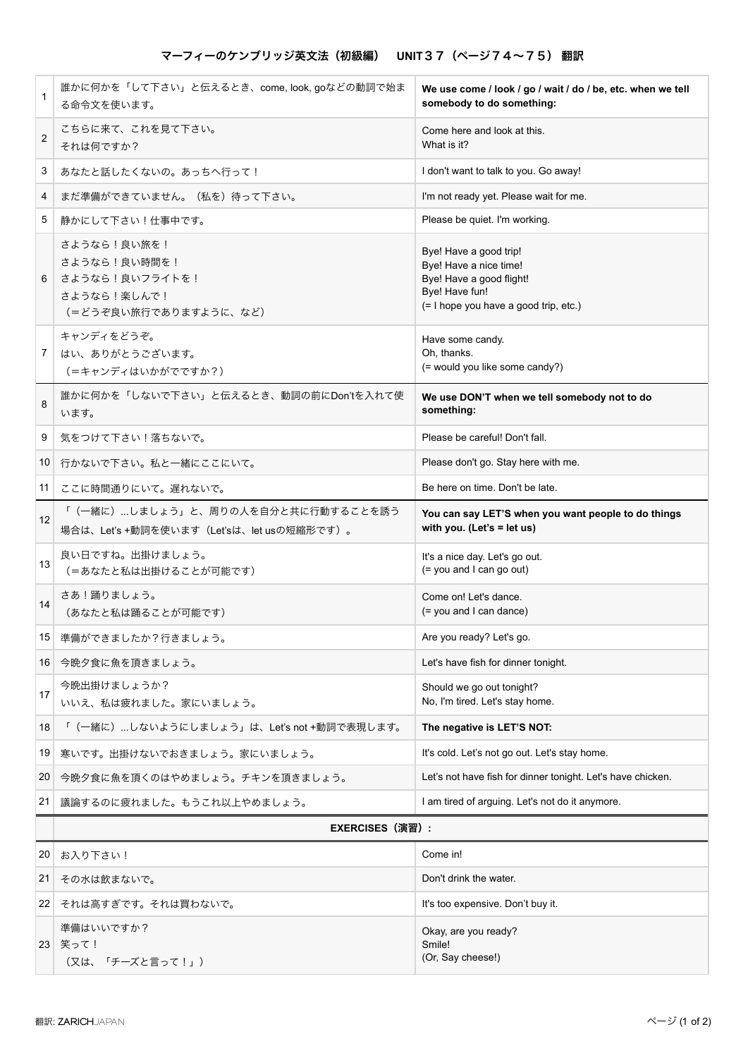| 1                       | 誰かに何かを「して下さい」と伝えるとき、come, look, goなどの動詞で始ま<br>る命令文を使います。                              | We use come / look / go / wait / do / be, etc. when we tell<br>somebody to do something:                                                |  |
|-------------------------|---------------------------------------------------------------------------------------|-----------------------------------------------------------------------------------------------------------------------------------------|--|
| $\overline{\mathbf{c}}$ | こちらに来て、これを見て下さい。<br>それは何ですか?                                                          | Come here and look at this.<br>What is it?                                                                                              |  |
| 3                       | あなたと話したくないの。あっちへ行って!                                                                  | I don't want to talk to you. Go away!                                                                                                   |  |
| 4                       | まだ準備ができていません。(私を)待って下さい。                                                              | I'm not ready yet. Please wait for me.                                                                                                  |  |
| 5                       | 静かにして下さい!仕事中です。                                                                       | Please be quiet. I'm working.                                                                                                           |  |
| 6                       | さようなら!良い旅を!<br>さようなら!良い時間を!<br>さようなら!良いフライトを!<br>さようなら!楽しんで!<br>(=どうぞ良い旅行でありますように、など) | Bye! Have a good trip!<br>Bye! Have a nice time!<br>Bye! Have a good flight!<br>Bye! Have fun!<br>(= I hope you have a good trip, etc.) |  |
| 7                       | キャンディをどうぞ。<br>はい、ありがとうございます。<br>(=キャンディはいかがでですか?)                                     | Have some candy.<br>Oh, thanks.<br>(= would you like some candy?)                                                                       |  |
| 8                       | 誰かに何かを「しないで下さい」と伝えるとき、動詞の前にDon'tを入れて使<br>います。                                         | We use DON'T when we tell somebody not to do<br>something:                                                                              |  |
| 9                       | 気をつけて下さい!落ちないで。                                                                       | Please be careful! Don't fall.                                                                                                          |  |
| 10                      | 行かないで下さい。私と一緒にここにいて。                                                                  | Please don't go. Stay here with me.                                                                                                     |  |
| 11                      | ここに時間通りにいて。遅れないで。                                                                     | Be here on time. Don't be late.                                                                                                         |  |
| 12                      | 「(一緒に)…しましょう」と、周りの人を自分と共に行動することを誘う<br>場合は、Let's +動詞を使います (Let'sは、let usの短縮形です)。       | You can say LET'S when you want people to do things<br>with you. (Let's = let us)                                                       |  |
| 13                      | 良い日ですね。出掛けましょう。<br>(=あなたと私は出掛けることが可能です)                                               | It's a nice day. Let's go out.<br>(= you and I can go out)                                                                              |  |
| 14                      | さあ!踊りましょう。<br>(あなたと私は踊ることが可能です)                                                       | Come on! Let's dance.<br>(= you and I can dance)                                                                                        |  |
|                         | 15 準備ができましたか?行きましょう。                                                                  | Are you ready? Let's go.                                                                                                                |  |
| 16                      | 今晩夕食に魚を頂きましょう。                                                                        | Let's have fish for dinner tonight.                                                                                                     |  |
| 17                      | 今晩出掛けましょうか?<br>いいえ、私は疲れました。家にいましょう。                                                   | Should we go out tonight?<br>No, I'm tired. Let's stay home.                                                                            |  |
| 18                      | 「(一緒に)…しないようにしましょう」は、Let's not +動詞で表現します。                                             | The negative is LET'S NOT:                                                                                                              |  |
| 19                      | 寒いです。出掛けないでおきましょう。家にいましょう。                                                            | It's cold. Let's not go out. Let's stay home.                                                                                           |  |
| 20                      | 今晩夕食に魚を頂くのはやめましょう。チキンを頂きましょう。                                                         | Let's not have fish for dinner tonight. Let's have chicken.                                                                             |  |
| 21                      | 議論するのに疲れました。もうこれ以上やめましょう。                                                             | I am tired of arguing. Let's not do it anymore.                                                                                         |  |
|                         | EXERCISES (演習) :                                                                      |                                                                                                                                         |  |
| 20                      | お入り下さい!                                                                               | Come in!                                                                                                                                |  |
| 21                      | その水は飲まないで。                                                                            | Don't drink the water.                                                                                                                  |  |
| 22                      | それは高すぎです。それは買わないで。                                                                    | It's too expensive. Don't buy it.                                                                                                       |  |
|                         | 準備はいいですか?<br>23 笑って!<br>(又は、「チーズと言って!」)                                               | Okay, are you ready?<br>Smile!<br>(Or, Say cheese!)                                                                                     |  |